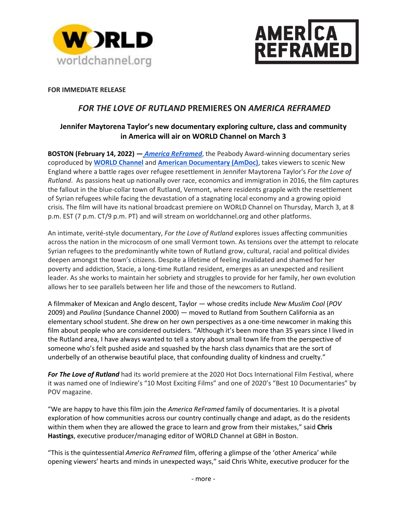



### **FOR IMMEDIATE RELEASE**

# *FOR THE LOVE OF RUTLAND* **PREMIERES ON** *AMERICA REFRAMED*

## **Jennifer Maytorena Taylor's new documentary exploring culture, class and community in America will air on WORLD Channel on March 3**

**BOSTON (February 14, 2022) —** *[America ReFramed](https://worldchannel.org/show/america-reframed/)*, the Peabody Award-winning documentary series coproduced by **[WORLD Channel](http://www.worldchannel.org/)** and **[American Documentary \(AmDoc\)](https://www.amdoc.org/)**, takes viewers to scenic New England where a battle rages over refugee resettlement in Jennifer Maytorena Taylor's *For the Love of Rutland*. As passions heat up nationally over race, economics and immigration in 2016, the film captures the fallout in the blue-collar town of Rutland, Vermont, where residents grapple with the resettlement of Syrian refugees while facing the devastation of a stagnating local economy and a growing opioid crisis. The film will have its national broadcast premiere on WORLD Channel on Thursday, March 3, at 8 p.m. EST (7 p.m. CT/9 p.m. PT) and will stream on worldchannel.org and other platforms.

An intimate, verité-style documentary, *For the Love of Rutland* explores issues affecting communities across the nation in the microcosm of one small Vermont town. As tensions over the attempt to relocate Syrian refugees to the predominantly white town of Rutland grow, cultural, racial and political divides deepen amongst the town's citizens. Despite a lifetime of feeling invalidated and shamed for her poverty and addiction, Stacie, a long-time Rutland resident, emerges as an unexpected and resilient leader. As she works to maintain her sobriety and struggles to provide for her family, her own evolution allows her to see parallels between her life and those of the newcomers to Rutland.

A filmmaker of Mexican and Anglo descent, Taylor — whose credits include *New Muslim Cool* (*POV* 2009) and *Paulina* (Sundance Channel 2000) — moved to Rutland from Southern California as an elementary school student. She drew on her own perspectives as a one-time newcomer in making this film about people who are considered outsiders. "Although it's been more than 35 years since I lived in the Rutland area, I have always wanted to tell a story about small town life from the perspective of someone who's felt pushed aside and squashed by the harsh class dynamics that are the sort of underbelly of an otherwise beautiful place, that confounding duality of kindness and cruelty."

*For The Love of Rutland* had its world premiere at the 2020 Hot Docs International Film Festival, where it was named one of Indiewire's "10 Most Exciting Films" and one of 2020's "Best 10 Documentaries" by POV magazine.

"We are happy to have this film join the *America ReFramed* family of documentaries. It is a pivotal exploration of how communities across our country continually change and adapt, as do the residents within them when they are allowed the grace to learn and grow from their mistakes," said **Chris Hastings**, executive producer/managing editor of WORLD Channel at GBH in Boston.

"This is the quintessential *America ReFramed* film, offering a glimpse of the 'other America' while opening viewers' hearts and minds in unexpected ways," said Chris White, executive producer for the